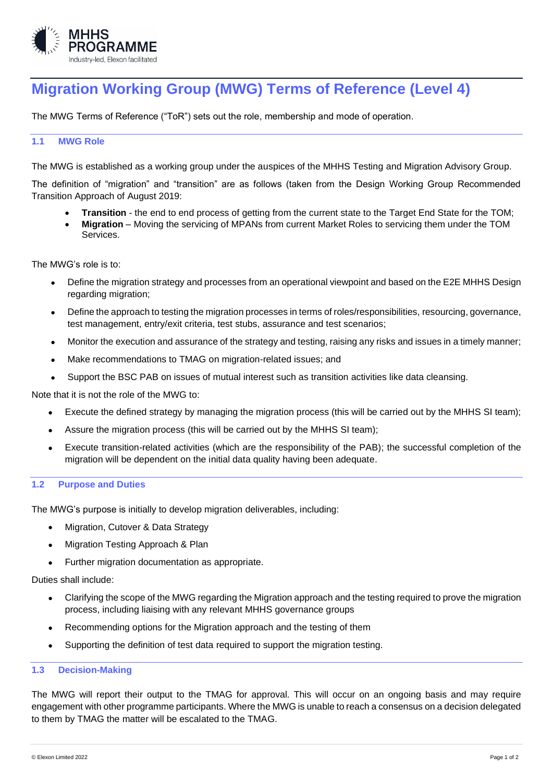

# **Migration Working Group (MWG) Terms of Reference (Level 4)**

The MWG Terms of Reference ("ToR") sets out the role, membership and mode of operation.

## **1.1 MWG Role**

The MWG is established as a working group under the auspices of the MHHS Testing and Migration Advisory Group.

The definition of "migration" and "transition" are as follows (taken from the Design Working Group Recommended Transition Approach of August 2019:

- **Transition** the end to end process of getting from the current state to the Target End State for the TOM;
- **Migration**  Moving the servicing of MPANs from current Market Roles to servicing them under the TOM Services.

The MWG's role is to:

- Define the migration strategy and processes from an operational viewpoint and based on the E2E MHHS Design regarding migration:
- Define the approach to testing the migration processes in terms of roles/responsibilities, resourcing, governance, test management, entry/exit criteria, test stubs, assurance and test scenarios;
- Monitor the execution and assurance of the strategy and testing, raising any risks and issues in a timely manner;
- Make recommendations to TMAG on migration-related issues; and
- Support the BSC PAB on issues of mutual interest such as transition activities like data cleansing.

Note that it is not the role of the MWG to:

- Execute the defined strategy by managing the migration process (this will be carried out by the MHHS SI team);
- Assure the migration process (this will be carried out by the MHHS SI team);
- Execute transition-related activities (which are the responsibility of the PAB); the successful completion of the migration will be dependent on the initial data quality having been adequate.

#### **1.2 Purpose and Duties**

The MWG's purpose is initially to develop migration deliverables, including:

- Migration, Cutover & Data Strategy
- Migration Testing Approach & Plan
- Further migration documentation as appropriate.

Duties shall include:

- Clarifying the scope of the MWG regarding the Migration approach and the testing required to prove the migration process, including liaising with any relevant MHHS governance groups
- Recommending options for the Migration approach and the testing of them
- Supporting the definition of test data required to support the migration testing.

#### **1.3 Decision-Making**

The MWG will report their output to the TMAG for approval. This will occur on an ongoing basis and may require engagement with other programme participants. Where the MWG is unable to reach a consensus on a decision delegated to them by TMAG the matter will be escalated to the TMAG.